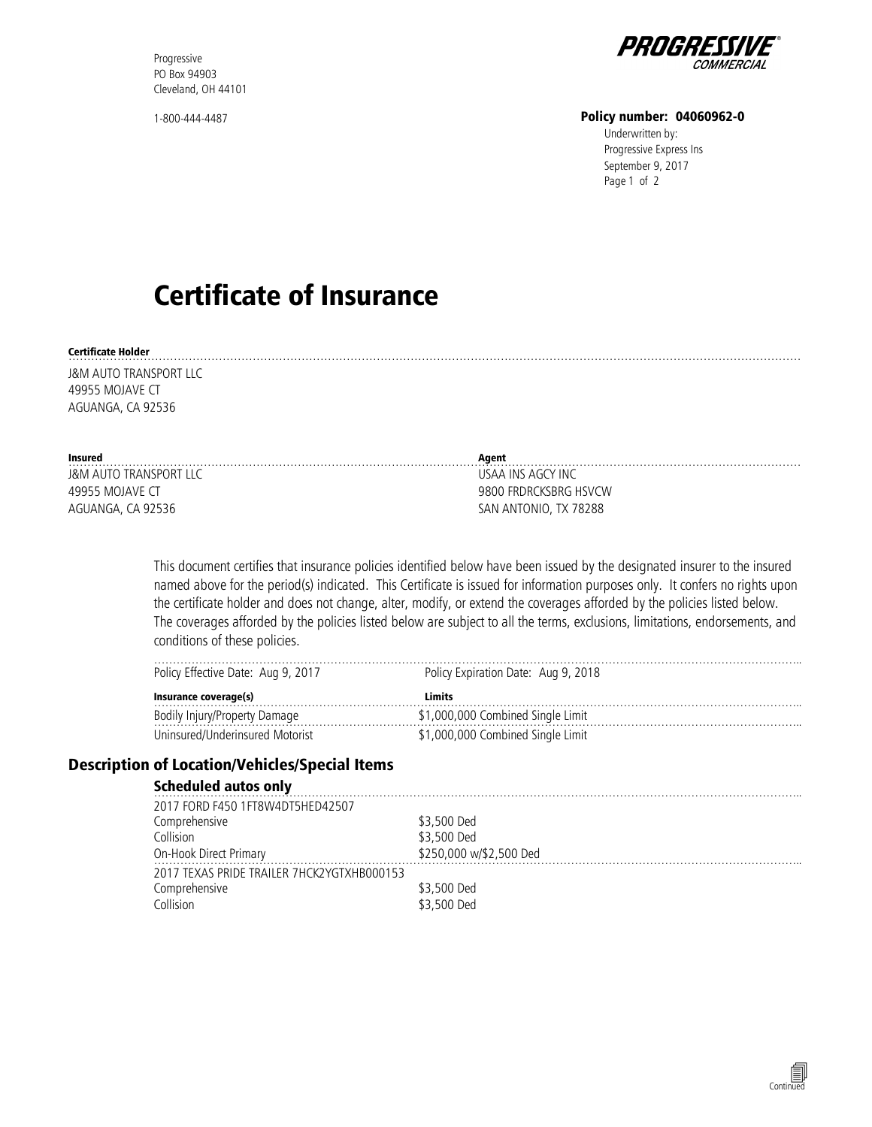Progressive PO Box 94903 Cleveland, OH 44101

1-800-444-4487



#### Policy number: 04060962-0

Underwritten by: Progressive Express Ins Page 1 of 2 September 9, 2017

# Certificate of Insurance

#### Certificate Holder ……………………………………………………………………………………………………………………………………………………………………………

J&M AUTO TRANSPORT LLC 49955 MOJAVE CT AGUANGA, CA 92536

| Insured                | Agent                 |
|------------------------|-----------------------|
| J&M AUTO TRANSPORT LLC | USAA INS AGCY INC     |
| 49955 MOJAVE CT        | 9800 FRDRCKSBRG HSVCW |
| AGUANGA, CA 92536      | SAN ANTONIO, TX 78288 |

This document certifies that insurance policies identified below have been issued by the designated insurer to the insured named above for the period(s) indicated. This Certificate is issued for information purposes only. It confers no rights upon the certificate holder and does not change, alter, modify, or extend the coverages afforded by the policies listed below. The coverages afforded by the policies listed below are subject to all the terms, exclusions, limitations, endorsements, and conditions of these policies.

| v Effective Date: Aug 9, 2017<br>Policy | Expiration Date: Aug 9, 2018<br>Policy |
|-----------------------------------------|----------------------------------------|
| Insurance coverage(s)                   |                                        |
|                                         | Combined Single Limit                  |
| d/Underinsured Motorist                 | ombined Single Limit                   |

#### Description of Location/Vehicles/Special Items

#### Scheduled autos only

| 2017 FORD F450 1FT8W4DT5HED42507           |                         |
|--------------------------------------------|-------------------------|
| Comprehensive                              | \$3,500 Ded             |
| Collision                                  | \$3,500 Ded             |
| On-Hook Direct Primary                     | \$250,000 w/\$2,500 Ded |
| 2017 TEXAS PRIDE TRAILER 7HCK2YGTXHB000153 |                         |
| Comprehensive                              | \$3,500 Ded             |
| Collision                                  | \$3,500 Ded             |